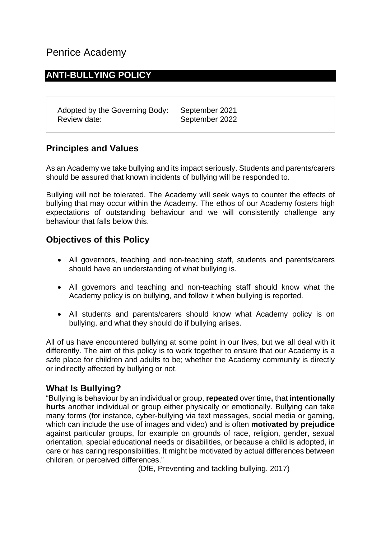# Penrice Academy

## **ANTI-BULLYING POLICY**

Adopted by the Governing Body: September 2021 Review date: September 2022

### **Principles and Values**

As an Academy we take bullying and its impact seriously. Students and parents/carers should be assured that known incidents of bullying will be responded to.

Bullying will not be tolerated. The Academy will seek ways to counter the effects of bullying that may occur within the Academy. The ethos of our Academy fosters high expectations of outstanding behaviour and we will consistently challenge any behaviour that falls below this.

### **Objectives of this Policy**

- All governors, teaching and non-teaching staff, students and parents/carers should have an understanding of what bullying is.
- All governors and teaching and non-teaching staff should know what the Academy policy is on bullying, and follow it when bullying is reported.
- All students and parents/carers should know what Academy policy is on bullying, and what they should do if bullying arises.

All of us have encountered bullying at some point in our lives, but we all deal with it differently. The aim of this policy is to work together to ensure that our Academy is a safe place for children and adults to be; whether the Academy community is directly or indirectly affected by bullying or not.

#### **What Is Bullying?**

"Bullying is behaviour by an individual or group, **repeated** over time**,** that **intentionally hurts** another individual or group either physically or emotionally. Bullying can take many forms (for instance, cyber-bullying via text messages, social media or gaming, which can include the use of images and video) and is often **motivated by prejudice** against particular groups, for example on grounds of race, religion, gender, sexual orientation, special educational needs or disabilities, or because a child is adopted, in care or has caring responsibilities. It might be motivated by actual differences between children, or perceived differences."

(DfE, Preventing and tackling bullying. 2017)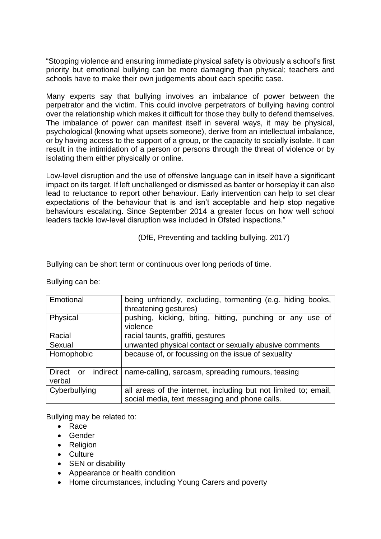"Stopping violence and ensuring immediate physical safety is obviously a school's first priority but emotional bullying can be more damaging than physical; teachers and schools have to make their own judgements about each specific case.

Many experts say that bullying involves an imbalance of power between the perpetrator and the victim. This could involve perpetrators of bullying having control over the relationship which makes it difficult for those they bully to defend themselves. The imbalance of power can manifest itself in several ways, it may be physical, psychological (knowing what upsets someone), derive from an intellectual imbalance, or by having access to the support of a group, or the capacity to socially isolate. It can result in the intimidation of a person or persons through the threat of violence or by isolating them either physically or online.

Low-level disruption and the use of offensive language can in itself have a significant impact on its target. If left unchallenged or dismissed as banter or horseplay it can also lead to reluctance to report other behaviour. Early intervention can help to set clear expectations of the behaviour that is and isn't acceptable and help stop negative behaviours escalating. Since September 2014 a greater focus on how well school leaders tackle low-level disruption was included in Ofsted inspections."

(DfE, Preventing and tackling bullying. 2017)

Bullying can be short term or continuous over long periods of time.

| Emotional                       | being unfriendly, excluding, tormenting (e.g. hiding books,<br>threatening gestures)                             |
|---------------------------------|------------------------------------------------------------------------------------------------------------------|
| Physical                        | pushing, kicking, biting, hitting, punching or any use of<br>violence                                            |
| Racial                          | racial taunts, graffiti, gestures                                                                                |
| Sexual                          | unwanted physical contact or sexually abusive comments                                                           |
| Homophobic                      | because of, or focussing on the issue of sexuality                                                               |
| Direct or<br>indirect<br>verbal | name-calling, sarcasm, spreading rumours, teasing                                                                |
| Cyberbullying                   | all areas of the internet, including but not limited to; email,<br>social media, text messaging and phone calls. |

Bullying can be:

Bullying may be related to:

- Race
- Gender
- Religion
- Culture
- **SEN or disability**
- Appearance or health condition
- Home circumstances, including Young Carers and poverty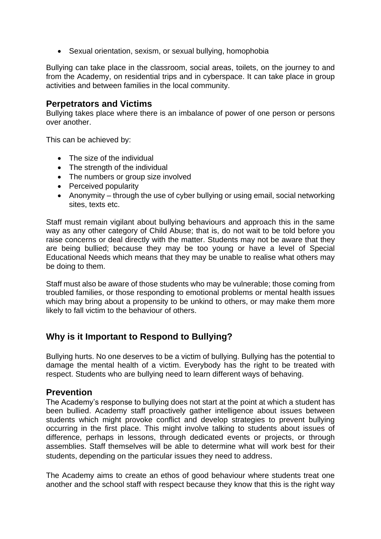• Sexual orientation, sexism, or sexual bullying, homophobia

Bullying can take place in the classroom, social areas, toilets, on the journey to and from the Academy, on residential trips and in cyberspace. It can take place in group activities and between families in the local community.

#### **Perpetrators and Victims**

Bullying takes place where there is an imbalance of power of one person or persons over another.

This can be achieved by:

- The size of the individual
- The strength of the individual
- The numbers or group size involved
- Perceived popularity
- Anonymity through the use of cyber bullying or using email, social networking sites, texts etc.

Staff must remain vigilant about bullying behaviours and approach this in the same way as any other category of Child Abuse; that is, do not wait to be told before you raise concerns or deal directly with the matter. Students may not be aware that they are being bullied; because they may be too young or have a level of Special Educational Needs which means that they may be unable to realise what others may be doing to them.

Staff must also be aware of those students who may be vulnerable; those coming from troubled families, or those responding to emotional problems or mental health issues which may bring about a propensity to be unkind to others, or may make them more likely to fall victim to the behaviour of others.

### **Why is it Important to Respond to Bullying?**

Bullying hurts. No one deserves to be a victim of bullying. Bullying has the potential to damage the mental health of a victim. Everybody has the right to be treated with respect. Students who are bullying need to learn different ways of behaving.

#### **Prevention**

The Academy's response to bullying does not start at the point at which a student has been bullied. Academy staff proactively gather intelligence about issues between students which might provoke conflict and develop strategies to prevent bullying occurring in the first place. This might involve talking to students about issues of difference, perhaps in lessons, through dedicated events or projects, or through assemblies. Staff themselves will be able to determine what will work best for their students, depending on the particular issues they need to address.

The Academy aims to create an ethos of good behaviour where students treat one another and the school staff with respect because they know that this is the right way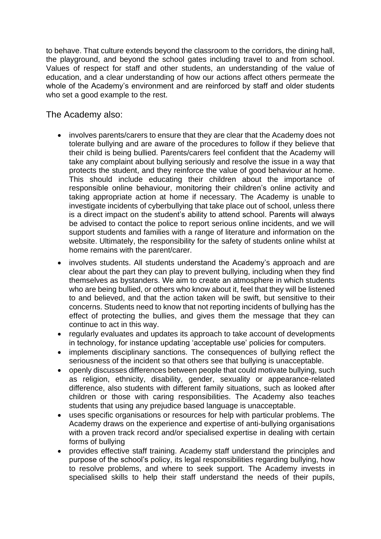to behave. That culture extends beyond the classroom to the corridors, the dining hall, the playground, and beyond the school gates including travel to and from school. Values of respect for staff and other students, an understanding of the value of education, and a clear understanding of how our actions affect others permeate the whole of the Academy's environment and are reinforced by staff and older students who set a good example to the rest.

The Academy also:

- involves parents/carers to ensure that they are clear that the Academy does not tolerate bullying and are aware of the procedures to follow if they believe that their child is being bullied. Parents/carers feel confident that the Academy will take any complaint about bullying seriously and resolve the issue in a way that protects the student, and they reinforce the value of good behaviour at home. This should include educating their children about the importance of responsible online behaviour, monitoring their children's online activity and taking appropriate action at home if necessary. The Academy is unable to investigate incidents of cyberbullying that take place out of school, unless there is a direct impact on the student's ability to attend school. Parents will always be advised to contact the police to report serious online incidents, and we will support students and families with a range of literature and information on the website. Ultimately, the responsibility for the safety of students online whilst at home remains with the parent/carer.
- involves students. All students understand the Academy's approach and are clear about the part they can play to prevent bullying, including when they find themselves as bystanders. We aim to create an atmosphere in which students who are being bullied, or others who know about it, feel that they will be listened to and believed, and that the action taken will be swift, but sensitive to their concerns. Students need to know that not reporting incidents of bullying has the effect of protecting the bullies, and gives them the message that they can continue to act in this way.
- regularly evaluates and updates its approach to take account of developments in technology, for instance updating 'acceptable use' policies for computers.
- implements disciplinary sanctions. The consequences of bullying reflect the seriousness of the incident so that others see that bullying is unacceptable.
- openly discusses differences between people that could motivate bullying, such as religion, ethnicity, disability, gender, sexuality or appearance-related difference, also students with different family situations, such as looked after children or those with caring responsibilities. The Academy also teaches students that using any prejudice based language is unacceptable.
- uses specific organisations or resources for help with particular problems. The Academy draws on the experience and expertise of anti-bullying organisations with a proven track record and/or specialised expertise in dealing with certain forms of bullying
- provides effective staff training. Academy staff understand the principles and purpose of the school's policy, its legal responsibilities regarding bullying, how to resolve problems, and where to seek support. The Academy invests in specialised skills to help their staff understand the needs of their pupils,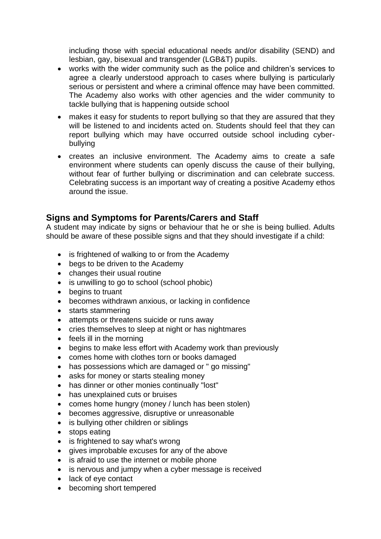including those with special educational needs and/or disability (SEND) and lesbian, gay, bisexual and transgender (LGB&T) pupils.

- works with the wider community such as the police and children's services to agree a clearly understood approach to cases where bullying is particularly serious or persistent and where a criminal offence may have been committed. The Academy also works with other agencies and the wider community to tackle bullying that is happening outside school
- makes it easy for students to report bullying so that they are assured that they will be listened to and incidents acted on. Students should feel that they can report bullying which may have occurred outside school including cyberbullying
- creates an inclusive environment. The Academy aims to create a safe environment where students can openly discuss the cause of their bullying, without fear of further bullying or discrimination and can celebrate success. Celebrating success is an important way of creating a positive Academy ethos around the issue.

### **Signs and Symptoms for Parents/Carers and Staff**

A student may indicate by signs or behaviour that he or she is being bullied. Adults should be aware of these possible signs and that they should investigate if a child:

- is frightened of walking to or from the Academy
- begs to be driven to the Academy
- changes their usual routine
- is unwilling to go to school (school phobic)
- begins to truant
- becomes withdrawn anxious, or lacking in confidence
- starts stammering
- attempts or threatens suicide or runs away
- cries themselves to sleep at night or has nightmares
- feels ill in the morning
- begins to make less effort with Academy work than previously
- comes home with clothes torn or books damaged
- has possessions which are damaged or " go missing"
- asks for money or starts stealing money
- has dinner or other monies continually "lost"
- has unexplained cuts or bruises
- comes home hungry (money / lunch has been stolen)
- becomes aggressive, disruptive or unreasonable
- is bullying other children or siblings
- stops eating
- is frightened to say what's wrong
- gives improbable excuses for any of the above
- is afraid to use the internet or mobile phone
- is nervous and jumpy when a cyber message is received
- lack of eye contact
- becoming short tempered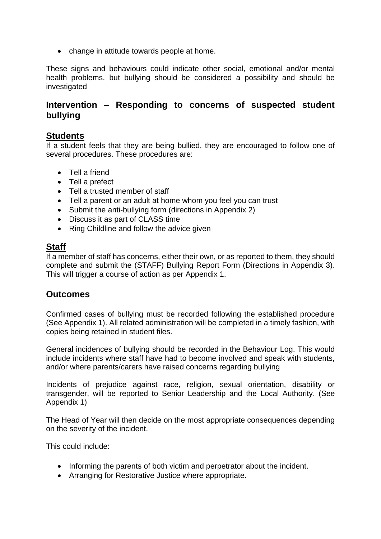• change in attitude towards people at home.

These signs and behaviours could indicate other social, emotional and/or mental health problems, but bullying should be considered a possibility and should be investigated

### **Intervention – Responding to concerns of suspected student bullying**

#### **Students**

If a student feels that they are being bullied, they are encouraged to follow one of several procedures. These procedures are:

- Tell a friend
- Tell a prefect
- Tell a trusted member of staff
- Tell a parent or an adult at home whom you feel you can trust
- Submit the anti-bullying form (directions in Appendix 2)
- Discuss it as part of CLASS time
- Ring Childline and follow the advice given

### **Staff**

If a member of staff has concerns, either their own, or as reported to them, they should complete and submit the (STAFF) Bullying Report Form (Directions in Appendix 3). This will trigger a course of action as per Appendix 1.

#### **Outcomes**

Confirmed cases of bullying must be recorded following the established procedure (See Appendix 1). All related administration will be completed in a timely fashion, with copies being retained in student files.

General incidences of bullying should be recorded in the Behaviour Log. This would include incidents where staff have had to become involved and speak with students, and/or where parents/carers have raised concerns regarding bullying

Incidents of prejudice against race, religion, sexual orientation, disability or transgender, will be reported to Senior Leadership and the Local Authority. (See Appendix 1)

The Head of Year will then decide on the most appropriate consequences depending on the severity of the incident.

This could include:

- Informing the parents of both victim and perpetrator about the incident.
- Arranging for Restorative Justice where appropriate.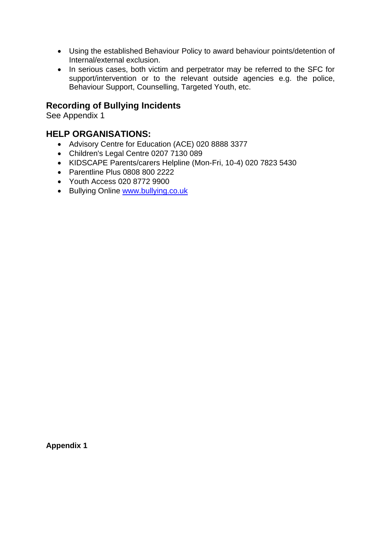- Using the established Behaviour Policy to award behaviour points/detention of Internal/external exclusion.
- In serious cases, both victim and perpetrator may be referred to the SFC for support/intervention or to the relevant outside agencies e.g. the police, Behaviour Support, Counselling, Targeted Youth, etc.

### **Recording of Bullying Incidents**

See Appendix 1

#### **HELP ORGANISATIONS:**

- Advisory Centre for Education (ACE) 020 8888 3377
- Children's Legal Centre 0207 7130 089
- KIDSCAPE Parents/carers Helpline (Mon-Fri, 10-4) 020 7823 5430
- Parentline Plus 0808 800 2222
- Youth Access 020 8772 9900
- Bullying Online [www.bullying.co.uk](http://www.bullying.co.uk/)

**Appendix 1**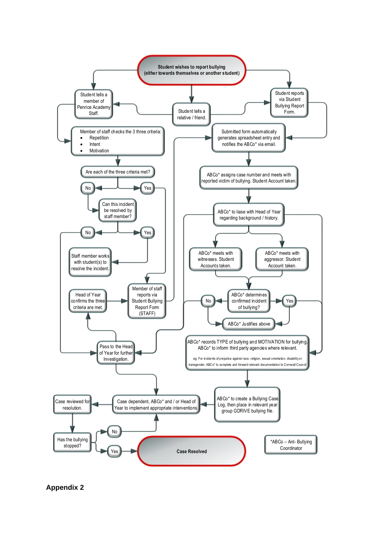